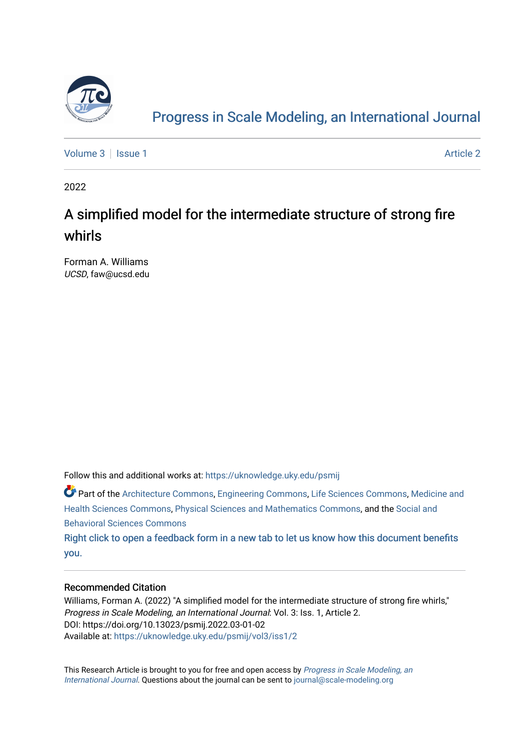

# [Progress in Scale Modeling, an International Journal](https://uknowledge.uky.edu/psmij)

[Volume 3](https://uknowledge.uky.edu/psmij/vol3) | [Issue 1](https://uknowledge.uky.edu/psmij/vol3/iss1) Article 2

2022

# A simplified model for the intermediate structure of strong fire whirls

Forman A. Williams UCSD, faw@ucsd.edu

Follow this and additional works at: [https://uknowledge.uky.edu/psmij](https://uknowledge.uky.edu/psmij?utm_source=uknowledge.uky.edu%2Fpsmij%2Fvol3%2Fiss1%2F2&utm_medium=PDF&utm_campaign=PDFCoverPages) 

Part of the [Architecture Commons,](https://network.bepress.com/hgg/discipline/773?utm_source=uknowledge.uky.edu%2Fpsmij%2Fvol3%2Fiss1%2F2&utm_medium=PDF&utm_campaign=PDFCoverPages) [Engineering Commons](https://network.bepress.com/hgg/discipline/217?utm_source=uknowledge.uky.edu%2Fpsmij%2Fvol3%2Fiss1%2F2&utm_medium=PDF&utm_campaign=PDFCoverPages), [Life Sciences Commons](https://network.bepress.com/hgg/discipline/1016?utm_source=uknowledge.uky.edu%2Fpsmij%2Fvol3%2Fiss1%2F2&utm_medium=PDF&utm_campaign=PDFCoverPages), [Medicine and](https://network.bepress.com/hgg/discipline/648?utm_source=uknowledge.uky.edu%2Fpsmij%2Fvol3%2Fiss1%2F2&utm_medium=PDF&utm_campaign=PDFCoverPages) [Health Sciences Commons](https://network.bepress.com/hgg/discipline/648?utm_source=uknowledge.uky.edu%2Fpsmij%2Fvol3%2Fiss1%2F2&utm_medium=PDF&utm_campaign=PDFCoverPages), [Physical Sciences and Mathematics Commons](https://network.bepress.com/hgg/discipline/114?utm_source=uknowledge.uky.edu%2Fpsmij%2Fvol3%2Fiss1%2F2&utm_medium=PDF&utm_campaign=PDFCoverPages), and the [Social and](https://network.bepress.com/hgg/discipline/316?utm_source=uknowledge.uky.edu%2Fpsmij%2Fvol3%2Fiss1%2F2&utm_medium=PDF&utm_campaign=PDFCoverPages) [Behavioral Sciences Commons](https://network.bepress.com/hgg/discipline/316?utm_source=uknowledge.uky.edu%2Fpsmij%2Fvol3%2Fiss1%2F2&utm_medium=PDF&utm_campaign=PDFCoverPages) 

[Right click to open a feedback form in a new tab to let us know how this document benefits](https://uky.az1.qualtrics.com/jfe/form/SV_9mq8fx2GnONRfz7)  [you.](https://uky.az1.qualtrics.com/jfe/form/SV_9mq8fx2GnONRfz7)

### Recommended Citation

Williams, Forman A. (2022) "A simplified model for the intermediate structure of strong fire whirls," Progress in Scale Modeling, an International Journal: Vol. 3: Iss. 1, Article 2. DOI: https://doi.org/10.13023/psmij.2022.03-01-02 Available at: [https://uknowledge.uky.edu/psmij/vol3/iss1/2](https://uknowledge.uky.edu/psmij/vol3/iss1/2?utm_source=uknowledge.uky.edu%2Fpsmij%2Fvol3%2Fiss1%2F2&utm_medium=PDF&utm_campaign=PDFCoverPages) 

This Research Article is brought to you for free and open access by [Progress in Scale Modeling, an](https://uknowledge.uky.edu/psmij) [International Journal](https://uknowledge.uky.edu/psmij). Questions about the journal can be sent to [journal@scale-modeling.org](mailto:journal@scale-modeling.org)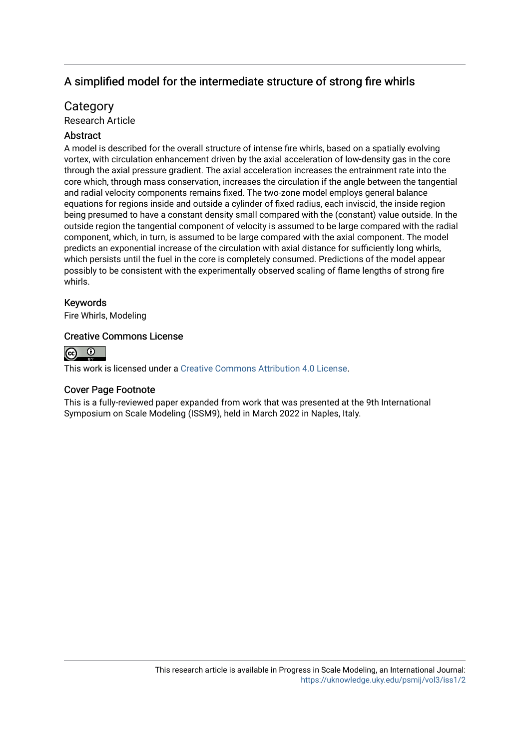## A simplified model for the intermediate structure of strong fire whirls

## **Category**

Research Article

## **Abstract**

A model is described for the overall structure of intense fire whirls, based on a spatially evolving vortex, with circulation enhancement driven by the axial acceleration of low-density gas in the core through the axial pressure gradient. The axial acceleration increases the entrainment rate into the core which, through mass conservation, increases the circulation if the angle between the tangential and radial velocity components remains fixed. The two-zone model employs general balance equations for regions inside and outside a cylinder of fixed radius, each inviscid, the inside region being presumed to have a constant density small compared with the (constant) value outside. In the outside region the tangential component of velocity is assumed to be large compared with the radial component, which, in turn, is assumed to be large compared with the axial component. The model predicts an exponential increase of the circulation with axial distance for sufficiently long whirls, which persists until the fuel in the core is completely consumed. Predictions of the model appear possibly to be consistent with the experimentally observed scaling of flame lengths of strong fire whirls.

## Keywords

Fire Whirls, Modeling

## Creative Commons License



This work is licensed under a [Creative Commons Attribution 4.0 License](https://creativecommons.org/licenses/by/4.0/).

### Cover Page Footnote

This is a fully-reviewed paper expanded from work that was presented at the 9th International Symposium on Scale Modeling (ISSM9), held in March 2022 in Naples, Italy.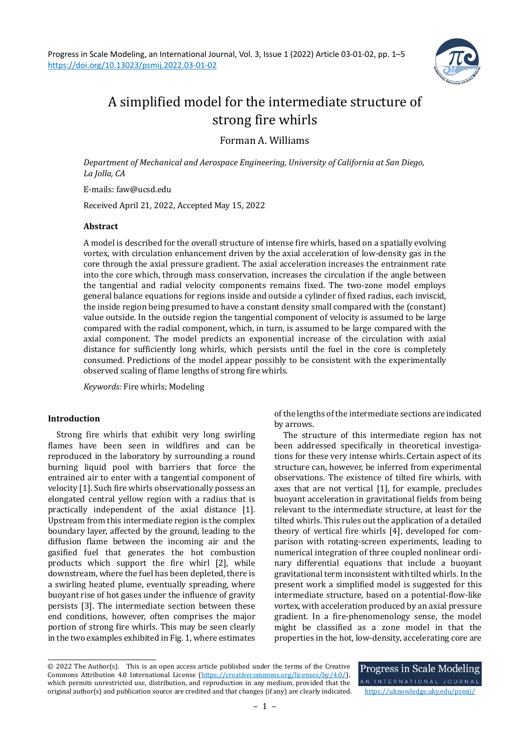

# A simplified model for the intermediate structure of strong fire whirls

Forman A. Williams

*Department of Mechanical and Aerospace Engineering, University of California at San Diego, La Jolla, CA*

E-mails: faw@ucsd.edu

Received April 21, 2022, Accepted May 15, 2022

#### **Abstract**

A model is described for the overall structure of intense fire whirls, based on a spatially evolving vortex, with circulation enhancement driven by the axial acceleration of low-density gas in the core through the axial pressure gradient. The axial acceleration increases the entrainment rate into the core which, through mass conservation, increases the circulation if the angle between the tangential and radial velocity components remains fixed. The two-zone model employs general balance equations for regions inside and outside a cylinder of fixed radius, each inviscid, the inside region being presumed to have a constant density small compared with the (constant) value outside. In the outside region the tangential component of velocity is assumed to be large compared with the radial component, which, in turn, is assumed to be large compared with the axial component. The model predicts an exponential increase of the circulation with axial distance for sufficiently long whirls, which persists until the fuel in the core is completely consumed. Predictions of the model appear possibly to be consistent with the experimentally observed scaling of flame lengths of strong fire whirls.

*Keywords:* Fire whirls; Modeling

#### **Introduction**

Strong fire whirls that exhibit very long swirling flames have been seen in wildfires and can be reproduced in the laboratory by surrounding a round burning liquid pool with barriers that force the entrained air to enter with a tangential component of velocity [1]. Such fire whirls observationally possess an elongated central yellow region with a radius that is practically independent of the axial distance [1]. Upstream from this intermediate region is the complex boundary layer, affected by the ground, leading to the diffusion flame between the incoming air and the gasified fuel that generates the hot combustion products which support the fire whirl [2], while downstream, where the fuel has been depleted, there is a swirling heated plume, eventually spreading, where buoyant rise of hot gases under the influence of gravity persists [3]. The intermediate section between these end conditions, however, often comprises the major portion of strong fire whirls. This may be seen clearly in the two examples exhibited in Fig. 1, where estimates of the lengths of the intermediate sections are indicated by arrows.

The structure of this intermediate region has not been addressed specifically in theoretical investigations for these very intense whirls. Certain aspect of its structure can, however, be inferred from experimental observations. The existence of tilted fire whirls, with axes that are not vertical [1], for example, precludes buoyant acceleration in gravitational fields from being relevant to the intermediate structure, at least for the tilted whirls. This rules out the application of a detailed theory of vertical fire whirls [4], developed for comparison with rotating-screen experiments, leading to numerical integration of three coupled nonlinear ordinary differential equations that include a buoyant gravitational term inconsistent with tilted whirls. In the present work a simplified model is suggested for this intermediate structure, based on a potential-flow-like vortex, with acceleration produced by an axial pressure gradient. In a fire-phenomenology sense, the model might be classified as a zone model in that the properties in the hot, low-density, accelerating core are

Progress in Scale Modeling

<sup>© 2022</sup> The Author(s). This is an open access article published under the terms of the Creative Commons Attribution 4.0 International License [\(https://creativecommons.org/licenses/by/4.0/\)](https://creativecommons.org/licenses/by/4.0/), which permits unrestricted use, distribution, and reproduction in any medium, provided that the original author(s) and publication source are credited and that changes (if any) are clearly indicated. <https://uknowledge.uky.edu/psmij/>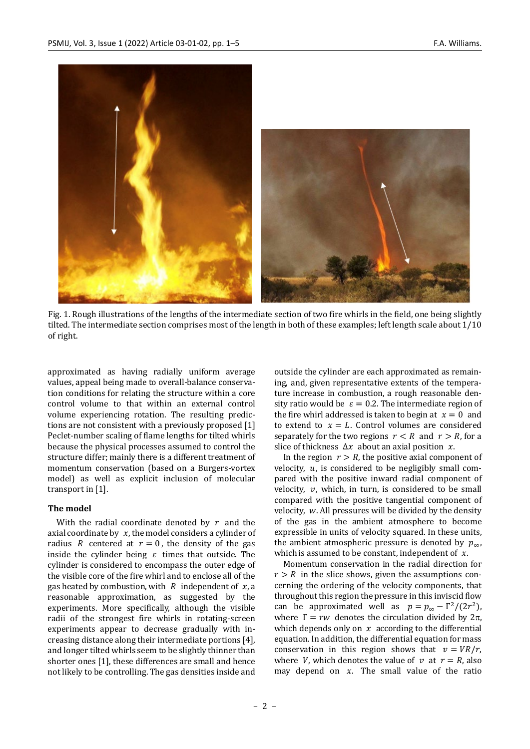

Fig. 1. Rough illustrations of the lengths of the intermediate section of two fire whirls in the field, one being slightly tilted. The intermediate section comprises most of the length in both of these examples; left length scale about 1/10 of right.

approximated as having radially uniform average values, appeal being made to overall-balance conservation conditions for relating the structure within a core control volume to that within an external control volume experiencing rotation. The resulting predictions are not consistent with a previously proposed [1] Peclet-number scaling of flame lengths for tilted whirls because the physical processes assumed to control the structure differ; mainly there is a different treatment of momentum conservation (based on a Burgers-vortex model) as well as explicit inclusion of molecular transport in [1].

#### **The model**

With the radial coordinate denoted by  $r$  and the axial coordinate by  $x$ , the model considers a cylinder of radius R centered at  $r = 0$ , the density of the gas inside the cylinder being  $\varepsilon$  times that outside. The cylinder is considered to encompass the outer edge of the visible core of the fire whirl and to enclose all of the gas heated by combustion, with  $R$  independent of  $x$ , a reasonable approximation, as suggested by the experiments. More specifically, although the visible radii of the strongest fire whirls in rotating-screen experiments appear to decrease gradually with increasing distance along their intermediate portions [4], and longer tilted whirls seem to be slightly thinner than shorter ones [1], these differences are small and hence not likely to be controlling. The gas densities inside and outside the cylinder are each approximated as remaining, and, given representative extents of the temperature increase in combustion, a rough reasonable density ratio would be  $\varepsilon = 0.2$ . The intermediate region of the fire whirl addressed is taken to begin at  $x = 0$  and to extend to  $x = L$ . Control volumes are considered separately for the two regions  $r < R$  and  $r > R$ , for a slice of thickness  $\Delta x$  about an axial position x.

In the region  $r > R$ , the positive axial component of velocity,  $u$ , is considered to be negligibly small compared with the positive inward radial component of velocity,  $v$ , which, in turn, is considered to be small compared with the positive tangential component of velocity,  $w$ . All pressures will be divided by the density of the gas in the ambient atmosphere to become expressible in units of velocity squared. In these units, the ambient atmospheric pressure is denoted by  $p_{\infty}$ , which is assumed to be constant, independent of  $x$ .

Momentum conservation in the radial direction for  $r > R$  in the slice shows, given the assumptions concerning the ordering of the velocity components, that throughout this region the pressure in this inviscid flow can be approximated well as  $p = p_{\infty} - \Gamma^2/(2r^2)$ , where  $\Gamma = rw$  denotes the circulation divided by  $2\pi$ , which depends only on  $x$  according to the differential equation. In addition, the differential equation for mass conservation in this region shows that  $v = VR/r$ . where V, which denotes the value of  $v$  at  $r = R$ , also may depend on  $x$ . The small value of the ratio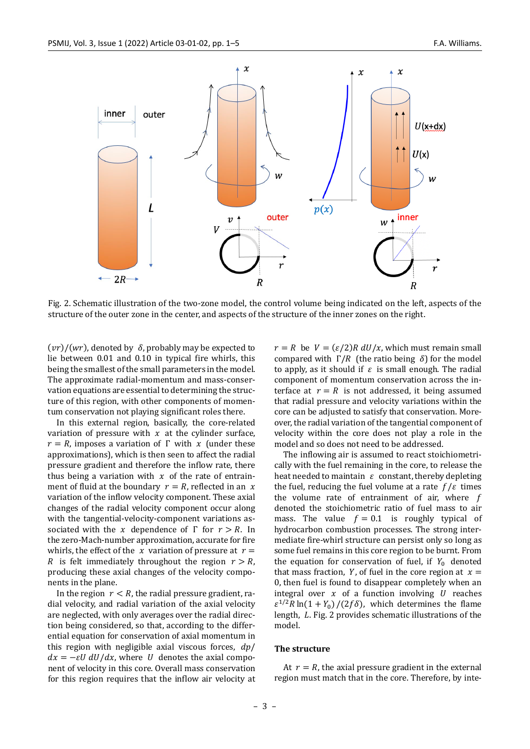

Fig. 2. Schematic illustration of the two-zone model, the control volume being indicated on the left, aspects of the structure of the outer zone in the center, and aspects of the structure of the inner zones on the right.

 $(vr)/(wr)$ , denoted by  $\delta$ , probably may be expected to lie between 0.01 and 0.10 in typical fire whirls, this being the smallest of the small parameters in the model. The approximate radial-momentum and mass-conservation equations are essential to determining the structure of this region, with other components of momentum conservation not playing significant roles there.

In this external region, basically, the core-related variation of pressure with  $x$  at the cylinder surface,  $r = R$ , imposes a variation of Γ with x (under these approximations), which is then seen to affect the radial pressure gradient and therefore the inflow rate, there thus being a variation with  $x$  of the rate of entrainment of fluid at the boundary  $r = R$ , reflected in an x variation of the inflow velocity component. These axial changes of the radial velocity component occur along with the tangential-velocity-component variations associated with the x dependence of  $\Gamma$  for  $r > R$ . In the zero-Mach-number approximation, accurate for fire whirls, the effect of the  $x$  variation of pressure at  $r =$ R is felt immediately throughout the region  $r > R$ , producing these axial changes of the velocity components in the plane.

In the region  $r < R$ , the radial pressure gradient, radial velocity, and radial variation of the axial velocity are neglected, with only averages over the radial direction being considered, so that, according to the differential equation for conservation of axial momentum in this region with negligible axial viscous forces,  $dp/$  $dx = -\varepsilon U dU/dx$ , where U denotes the axial component of velocity in this core. Overall mass conservation for this region requires that the inflow air velocity at  $r = R$  be  $V = (\varepsilon/2) R dU/x$ , which must remain small compared with  $Γ/R$  (the ratio being δ) for the model to apply, as it should if  $\varepsilon$  is small enough. The radial component of momentum conservation across the interface at  $r = R$  is not addressed, it being assumed that radial pressure and velocity variations within the core can be adjusted to satisfy that conservation. Moreover, the radial variation of the tangential component of velocity within the core does not play a role in the model and so does not need to be addressed.

The inflowing air is assumed to react stoichiometrically with the fuel remaining in the core, to release the heat needed to maintain  $\varepsilon$  constant, thereby depleting the fuel, reducing the fuel volume at a rate  $f/\varepsilon$  times the volume rate of entrainment of air, where  $f$ denoted the stoichiometric ratio of fuel mass to air mass. The value  $f = 0.1$  is roughly typical of hydrocarbon combustion processes. The strong intermediate fire-whirl structure can persist only so long as some fuel remains in this core region to be burnt. From the equation for conservation of fuel, if  $Y_0$  denoted that mass fraction, Y, of fuel in the core region at  $x =$ 0, then fuel is found to disappear completely when an integral over  $x$  of a function involving  $U$  reaches  $\epsilon^{1/2} R \ln(1 + Y_0) / (2f\delta)$ , which determines the flame length,  $L$ . Fig. 2 provides schematic illustrations of the model.

#### **The structure**

At  $r = R$ , the axial pressure gradient in the external region must match that in the core. Therefore, by inte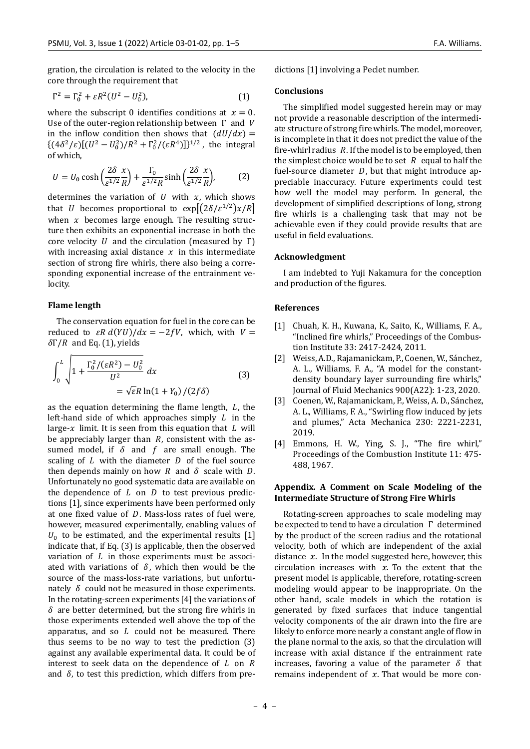gration, the circulation is related to the velocity in the core through the requirement that

$$
\Gamma^2 = \Gamma_0^2 + \varepsilon R^2 (U^2 - U_0^2), \tag{1}
$$

where the subscript 0 identifies conditions at  $x = 0$ . Use of the outer-region relationship between  $\Gamma$  and  $V$ in the inflow condition then shows that  $(dU/dx) =$  $\{(4\delta^2/\varepsilon)[(U^2-U_0^2)/R^2+\Gamma_0^2/(\varepsilon R^4)]\}^{1/2}$ , the integral of which,

$$
U = U_0 \cosh\left(\frac{2\delta}{\varepsilon^{1/2}}\frac{x}{R}\right) + \frac{\Gamma_0}{\varepsilon^{1/2}R} \sinh\left(\frac{2\delta}{\varepsilon^{1/2}}\frac{x}{R}\right),\tag{2}
$$

determines the variation of  $U$  with  $x$ , which shows that *U* becomes proportional to  $exp[(2\delta/\epsilon^{1/2})\chi/R]$ when  $x$  becomes large enough. The resulting structure then exhibits an exponential increase in both the core velocity  $U$  and the circulation (measured by  $\Gamma$ ) with increasing axial distance  $x$  in this intermediate section of strong fire whirls, there also being a corresponding exponential increase of the entrainment velocity.

#### **Flame length**

The conservation equation for fuel in the core can be reduced to  $\epsilon R d(YU)/dx = -2fV$ , which, with  $V =$  $δΓ/R$  and Eq. (1), yields

$$
\int_0^L \sqrt{1 + \frac{\Gamma_0^2 / (\varepsilon R^2) - U_0^2}{U^2}} dx
$$
\n
$$
= \sqrt{\varepsilon} R \ln(1 + Y_0) / (2f\delta)
$$
\n(3)

as the equation determining the flame length,  $L$ , the left-hand side of which approaches simply  $L$  in the large- $x$  limit. It is seen from this equation that  $L$  will be appreciably larger than  $R$ , consistent with the assumed model, if  $\delta$  and  $f$  are small enough. The scaling of  $L$  with the diameter  $D$  of the fuel source then depends mainly on how  $R$  and  $\delta$  scale with  $D$ . Unfortunately no good systematic data are available on the dependence of  $L$  on  $D$  to test previous predictions [1], since experiments have been performed only at one fixed value of  $D$ . Mass-loss rates of fuel were, however, measured experimentally, enabling values of  $U_0$  to be estimated, and the experimental results [1] indicate that, if Eq. (3) is applicable, then the observed variation of  $L$  in those experiments must be associated with variations of  $\delta$ , which then would be the source of the mass-loss-rate variations, but unfortunately  $\delta$  could not be measured in those experiments. In the rotating-screen experiments [4] the variations of  $\delta$  are better determined, but the strong fire whirls in those experiments extended well above the top of the apparatus, and so  $L$  could not be measured. There thus seems to be no way to test the prediction (3) against any available experimental data. It could be of interest to seek data on the dependence of  $L$  on  $R$ and  $\delta$ , to test this prediction, which differs from predictions [1] involving a Peclet number.

#### **Conclusions**

The simplified model suggested herein may or may not provide a reasonable description of the intermediate structure of strong fire whirls. The model, moreover, is incomplete in that it does not predict the value of the fire-whirl radius  $R$ . If the model is to be employed, then the simplest choice would be to set  $R$  equal to half the fuel-source diameter  $D$ , but that might introduce appreciable inaccuracy. Future experiments could test how well the model may perform. In general, the development of simplified descriptions of long, strong fire whirls is a challenging task that may not be achievable even if they could provide results that are useful in field evaluations.

#### **Acknowledgment**

I am indebted to Yuji Nakamura for the conception and production of the figures.

#### **References**

- [1] Chuah, K. H., Kuwana, K., Saito, K., Williams, F. A., "Inclined fire whirls," Proceedings of the Combustion Institute 33: 2417-2424, 2011.
- [2] Weiss, A.D., Rajamanickam, P., Coenen, W., Sánchez, A. L., Williams, F. A., "A model for the constantdensity boundary layer surrounding fire whirls," Journal of Fluid Mechanics 900(A22): 1-23, 2020.
- [3] Coenen, W., Rajamanickam, P., Weiss, A. D., Sánchez, A. L., Williams, F. A., "Swirling flow induced by jets and plumes," Acta Mechanica 230: 2221-2231, 2019.
- [4] Emmons, H. W., Ying, S. J., "The fire whirl," Proceedings of the Combustion Institute 11: 475- 488, 1967.

#### **Appendix. A Comment on Scale Modeling of the Intermediate Structure of Strong Fire Whirls**

Rotating-screen approaches to scale modeling may be expected to tend to have a circulation Γ determined by the product of the screen radius and the rotational velocity, both of which are independent of the axial distance  $x$ . In the model suggested here, however, this circulation increases with  $x$ . To the extent that the present model is applicable, therefore, rotating-screen modeling would appear to be inappropriate. On the other hand, scale models in which the rotation is generated by fixed surfaces that induce tangential velocity components of the air drawn into the fire are likely to enforce more nearly a constant angle of flow in the plane normal to the axis, so that the circulation will increase with axial distance if the entrainment rate increases, favoring a value of the parameter  $\delta$  that remains independent of  $x$ . That would be more con